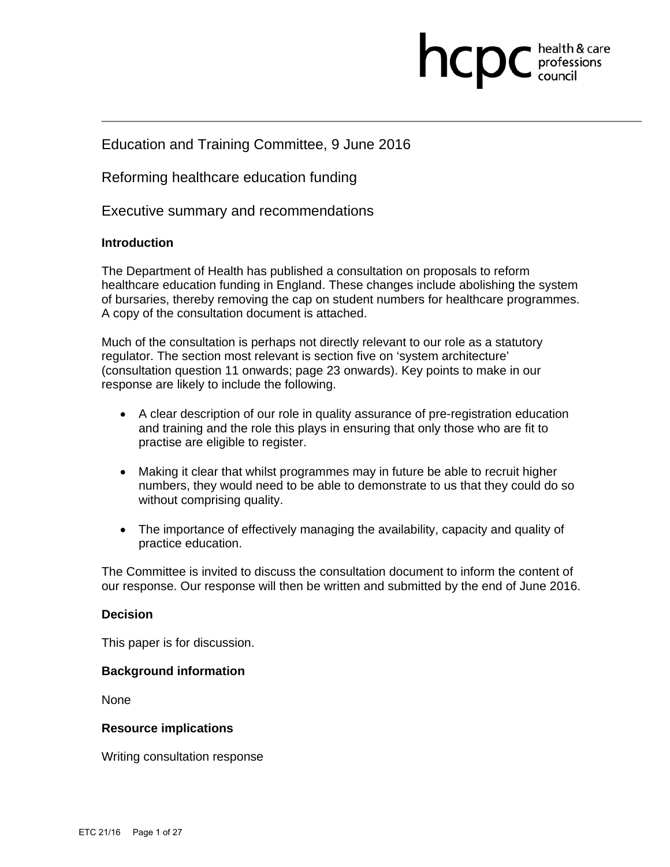# health & care ncpc professions

# Education and Training Committee, 9 June 2016

Reforming healthcare education funding

Executive summary and recommendations

#### **Introduction**

The Department of Health has published a consultation on proposals to reform healthcare education funding in England. These changes include abolishing the system of bursaries, thereby removing the cap on student numbers for healthcare programmes. A copy of the consultation document is attached.

Much of the consultation is perhaps not directly relevant to our role as a statutory regulator. The section most relevant is section five on 'system architecture' (consultation question 11 onwards; page 23 onwards). Key points to make in our response are likely to include the following.

- A clear description of our role in quality assurance of pre-registration education and training and the role this plays in ensuring that only those who are fit to practise are eligible to register.
- Making it clear that whilst programmes may in future be able to recruit higher numbers, they would need to be able to demonstrate to us that they could do so without comprising quality.
- The importance of effectively managing the availability, capacity and quality of practice education.

The Committee is invited to discuss the consultation document to inform the content of our response. Our response will then be written and submitted by the end of June 2016.

#### **Decision**

This paper is for discussion.

#### **Background information**

None

#### **Resource implications**

Writing consultation response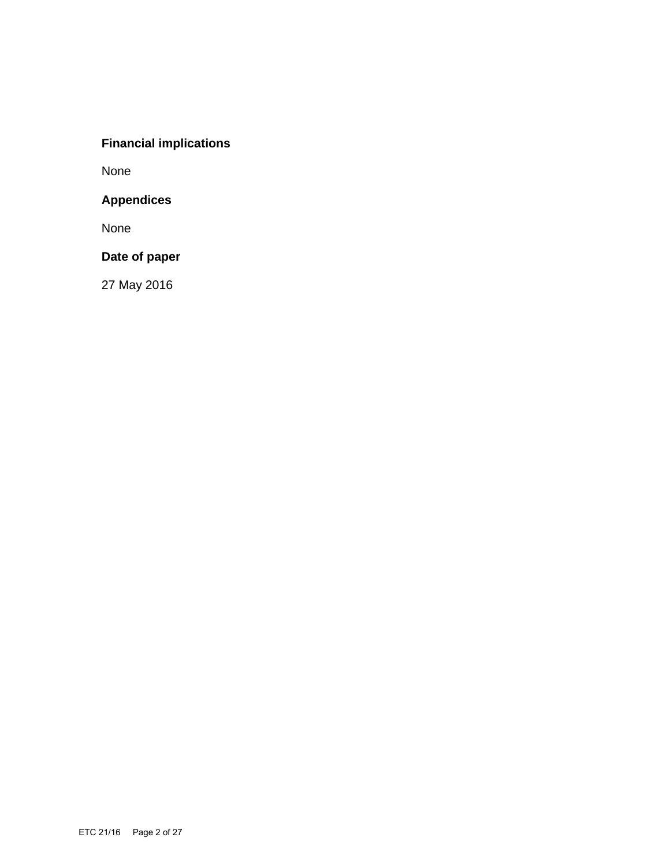# **Financial implications**

None

# **Appendices**

None

# **Date of paper**

27 May 2016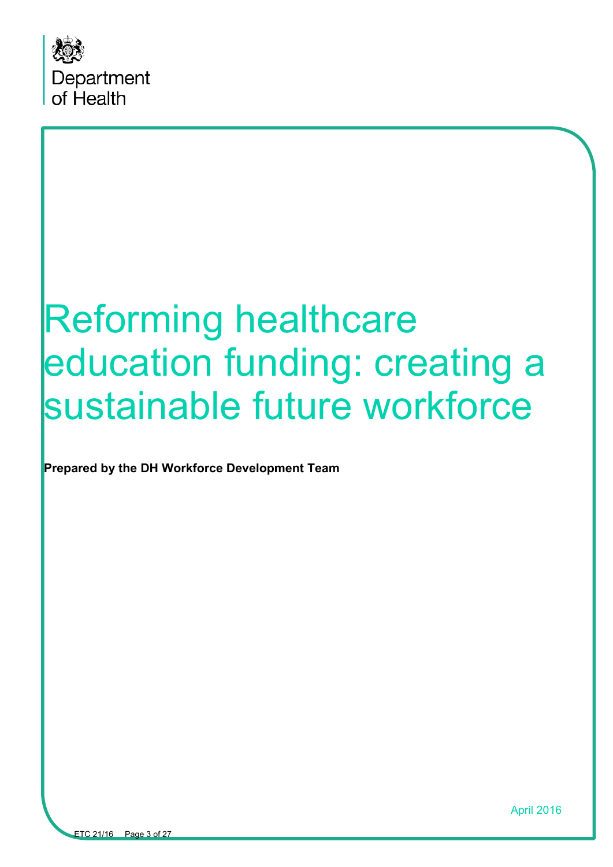

# Reforming healthcare education funding: creating a sustainable future workforce

**Prepared by the DH Workforce Development Team**

April 2016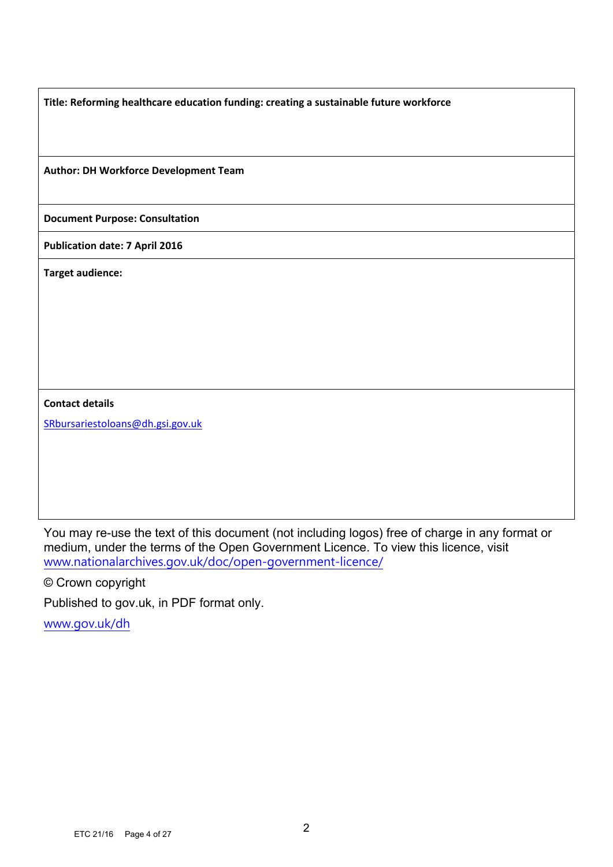**Title: Reforming healthcare education funding: creating a sustainable future workforce**

**Author: DH Workforce Development Team**

**Document Purpose: Consultation**

**Publication date: 7 April 2016**

**Target audience:** 

**Contact details**

SRbursariestoloans@dh.gsi.gov.uk

You may re-use the text of this document (not including logos) free of charge in any format or medium, under the terms of the Open Government Licence. To view this licence, visit www.nationalarchives.gov.uk/doc/open-government-licence/

© Crown copyright

Published to gov.uk, in PDF format only.

www.gov.uk/dh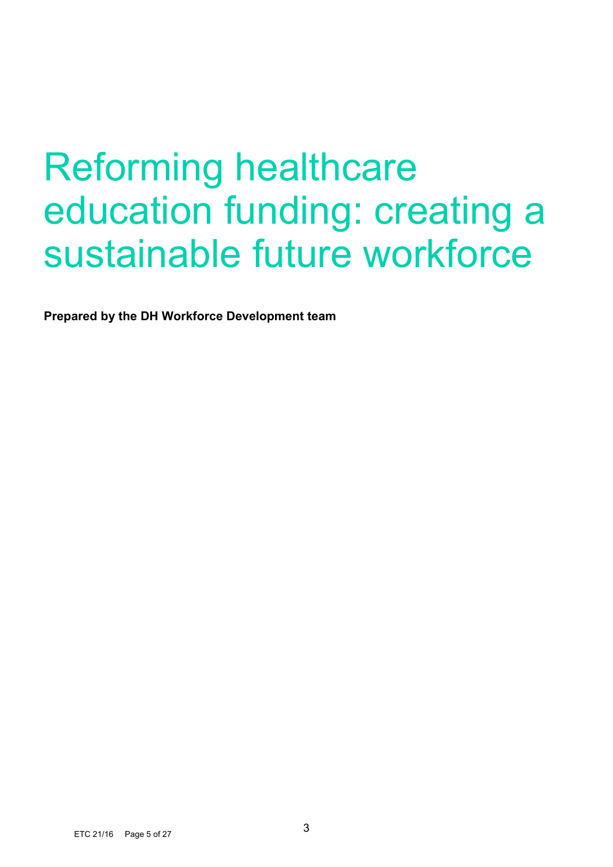# Reforming healthcare education funding: creating a sustainable future workforce

**Prepared by the DH Workforce Development team**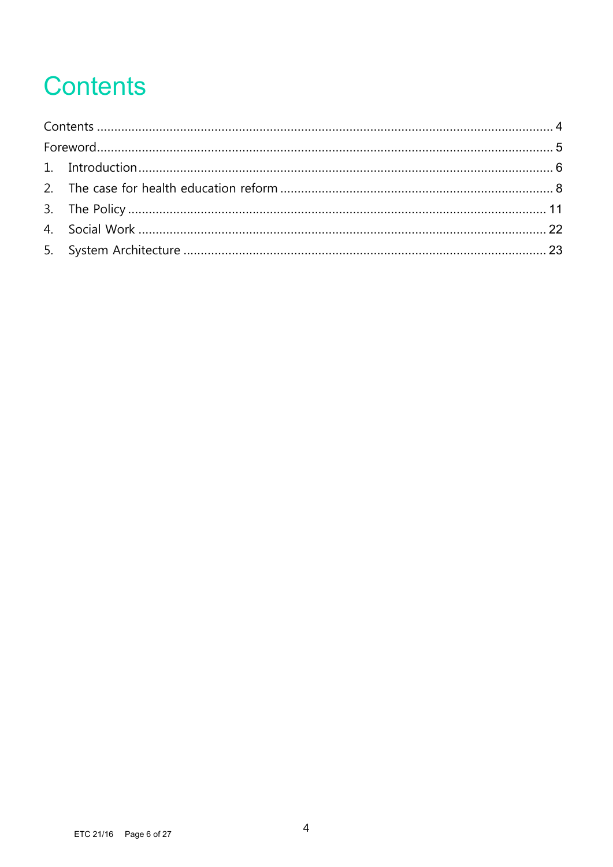# **Contents**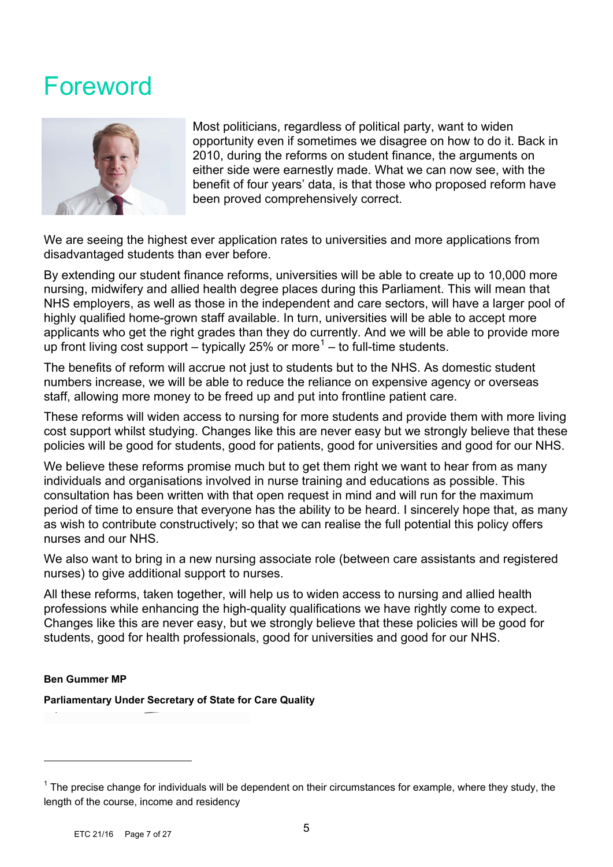# Foreword



Most politicians, regardless of political party, want to widen opportunity even if sometimes we disagree on how to do it. Back in 2010, during the reforms on student finance, the arguments on either side were earnestly made. What we can now see, with the benefit of four years' data, is that those who proposed reform have been proved comprehensively correct.

We are seeing the highest ever application rates to universities and more applications from disadvantaged students than ever before.

By extending our student finance reforms, universities will be able to create up to 10,000 more nursing, midwifery and allied health degree places during this Parliament. This will mean that NHS employers, as well as those in the independent and care sectors, will have a larger pool of highly qualified home-grown staff available. In turn, universities will be able to accept more applicants who get the right grades than they do currently. And we will be able to provide more up front living cost support – typically 25% or more<sup>1</sup> – to full-time students.

The benefits of reform will accrue not just to students but to the NHS. As domestic student numbers increase, we will be able to reduce the reliance on expensive agency or overseas staff, allowing more money to be freed up and put into frontline patient care.

These reforms will widen access to nursing for more students and provide them with more living cost support whilst studying. Changes like this are never easy but we strongly believe that these policies will be good for students, good for patients, good for universities and good for our NHS.

We believe these reforms promise much but to get them right we want to hear from as many individuals and organisations involved in nurse training and educations as possible. This consultation has been written with that open request in mind and will run for the maximum period of time to ensure that everyone has the ability to be heard. I sincerely hope that, as many as wish to contribute constructively; so that we can realise the full potential this policy offers nurses and our NHS.

We also want to bring in a new nursing associate role (between care assistants and registered nurses) to give additional support to nurses.

All these reforms, taken together, will help us to widen access to nursing and allied health professions while enhancing the high-quality qualifications we have rightly come to expect. Changes like this are never easy, but we strongly believe that these policies will be good for students, good for health professionals, good for universities and good for our NHS.

#### **Ben Gummer MP**

 $\overline{a}$ 

**Parliamentary Under Secretary of State for Care Quality**

 $1$  The precise change for individuals will be dependent on their circumstances for example, where they study, the length of the course, income and residency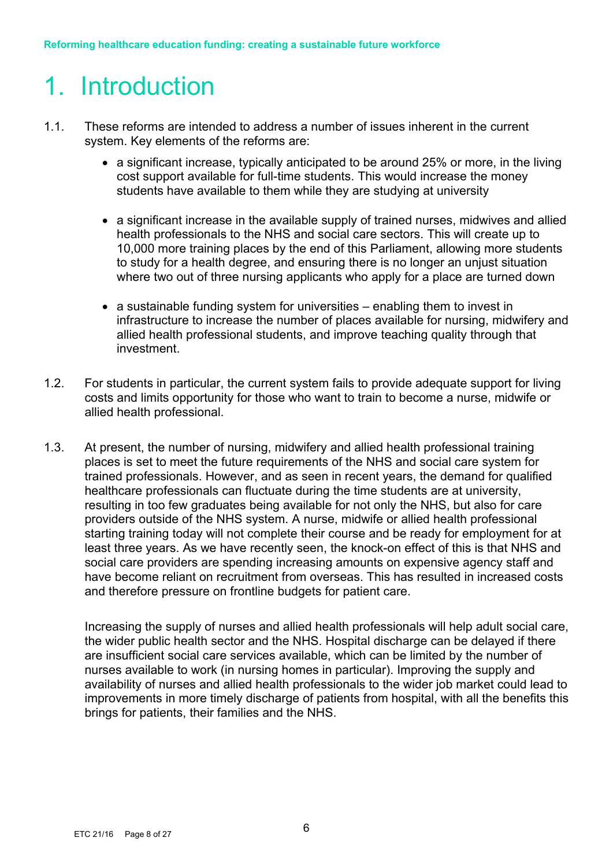# 1. Introduction

- 1.1. These reforms are intended to address a number of issues inherent in the current system. Key elements of the reforms are:
	- a significant increase, typically anticipated to be around 25% or more, in the living cost support available for full-time students. This would increase the money students have available to them while they are studying at university
	- a significant increase in the available supply of trained nurses, midwives and allied health professionals to the NHS and social care sectors. This will create up to 10,000 more training places by the end of this Parliament, allowing more students to study for a health degree, and ensuring there is no longer an unjust situation where two out of three nursing applicants who apply for a place are turned down
	- a sustainable funding system for universities enabling them to invest in infrastructure to increase the number of places available for nursing, midwifery and allied health professional students, and improve teaching quality through that investment.
- 1.2. For students in particular, the current system fails to provide adequate support for living costs and limits opportunity for those who want to train to become a nurse, midwife or allied health professional.
- 1.3. At present, the number of nursing, midwifery and allied health professional training places is set to meet the future requirements of the NHS and social care system for trained professionals. However, and as seen in recent years, the demand for qualified healthcare professionals can fluctuate during the time students are at university, resulting in too few graduates being available for not only the NHS, but also for care providers outside of the NHS system. A nurse, midwife or allied health professional starting training today will not complete their course and be ready for employment for at least three years. As we have recently seen, the knock-on effect of this is that NHS and social care providers are spending increasing amounts on expensive agency staff and have become reliant on recruitment from overseas. This has resulted in increased costs and therefore pressure on frontline budgets for patient care.

Increasing the supply of nurses and allied health professionals will help adult social care, the wider public health sector and the NHS. Hospital discharge can be delayed if there are insufficient social care services available, which can be limited by the number of nurses available to work (in nursing homes in particular). Improving the supply and availability of nurses and allied health professionals to the wider job market could lead to improvements in more timely discharge of patients from hospital, with all the benefits this brings for patients, their families and the NHS.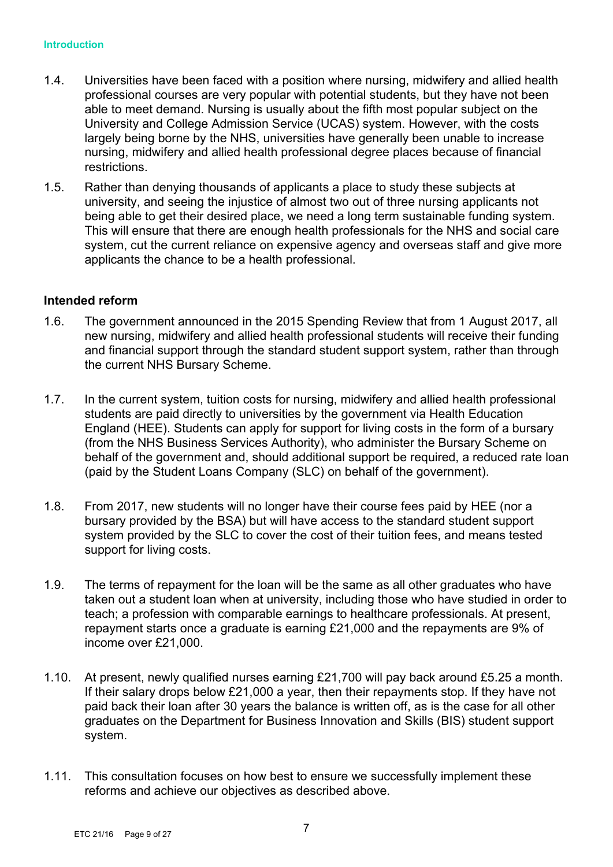- 1.4. Universities have been faced with a position where nursing, midwifery and allied health professional courses are very popular with potential students, but they have not been able to meet demand. Nursing is usually about the fifth most popular subject on the University and College Admission Service (UCAS) system. However, with the costs largely being borne by the NHS, universities have generally been unable to increase nursing, midwifery and allied health professional degree places because of financial restrictions.
- 1.5. Rather than denying thousands of applicants a place to study these subjects at university, and seeing the injustice of almost two out of three nursing applicants not being able to get their desired place, we need a long term sustainable funding system. This will ensure that there are enough health professionals for the NHS and social care system, cut the current reliance on expensive agency and overseas staff and give more applicants the chance to be a health professional.

#### **Intended reform**

- 1.6. The government announced in the 2015 Spending Review that from 1 August 2017, all new nursing, midwifery and allied health professional students will receive their funding and financial support through the standard student support system, rather than through the current NHS Bursary Scheme.
- 1.7. In the current system, tuition costs for nursing, midwifery and allied health professional students are paid directly to universities by the government via Health Education England (HEE). Students can apply for support for living costs in the form of a bursary (from the NHS Business Services Authority), who administer the Bursary Scheme on behalf of the government and, should additional support be required, a reduced rate loan (paid by the Student Loans Company (SLC) on behalf of the government).
- 1.8. From 2017, new students will no longer have their course fees paid by HEE (nor a bursary provided by the BSA) but will have access to the standard student support system provided by the SLC to cover the cost of their tuition fees, and means tested support for living costs.
- 1.9. The terms of repayment for the loan will be the same as all other graduates who have taken out a student loan when at university, including those who have studied in order to teach; a profession with comparable earnings to healthcare professionals. At present, repayment starts once a graduate is earning £21,000 and the repayments are 9% of income over £21,000.
- 1.10. At present, newly qualified nurses earning £21,700 will pay back around £5.25 a month. If their salary drops below £21,000 a year, then their repayments stop. If they have not paid back their loan after 30 years the balance is written off, as is the case for all other graduates on the Department for Business Innovation and Skills (BIS) student support system.
- 1.11. This consultation focuses on how best to ensure we successfully implement these reforms and achieve our objectives as described above.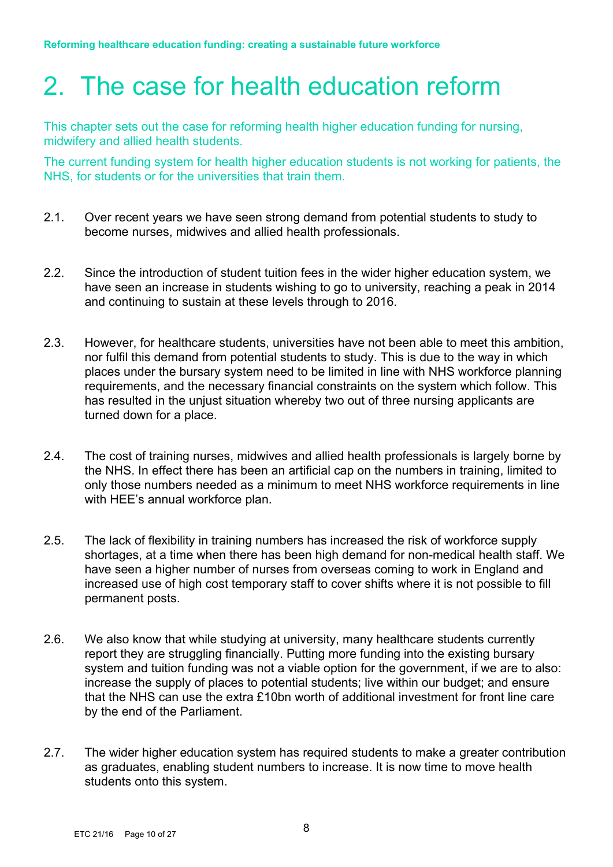# 2. The case for health education reform

This chapter sets out the case for reforming health higher education funding for nursing, midwifery and allied health students.

The current funding system for health higher education students is not working for patients, the NHS, for students or for the universities that train them.

- 2.1. Over recent years we have seen strong demand from potential students to study to become nurses, midwives and allied health professionals.
- 2.2. Since the introduction of student tuition fees in the wider higher education system, we have seen an increase in students wishing to go to university, reaching a peak in 2014 and continuing to sustain at these levels through to 2016.
- 2.3. However, for healthcare students, universities have not been able to meet this ambition, nor fulfil this demand from potential students to study. This is due to the way in which places under the bursary system need to be limited in line with NHS workforce planning requirements, and the necessary financial constraints on the system which follow. This has resulted in the unjust situation whereby two out of three nursing applicants are turned down for a place.
- 2.4. The cost of training nurses, midwives and allied health professionals is largely borne by the NHS. In effect there has been an artificial cap on the numbers in training, limited to only those numbers needed as a minimum to meet NHS workforce requirements in line with HEE's annual workforce plan.
- 2.5. The lack of flexibility in training numbers has increased the risk of workforce supply shortages, at a time when there has been high demand for non-medical health staff. We have seen a higher number of nurses from overseas coming to work in England and increased use of high cost temporary staff to cover shifts where it is not possible to fill permanent posts.
- 2.6. We also know that while studying at university, many healthcare students currently report they are struggling financially. Putting more funding into the existing bursary system and tuition funding was not a viable option for the government, if we are to also: increase the supply of places to potential students; live within our budget; and ensure that the NHS can use the extra £10bn worth of additional investment for front line care by the end of the Parliament.
- 2.7. The wider higher education system has required students to make a greater contribution as graduates, enabling student numbers to increase. It is now time to move health students onto this system.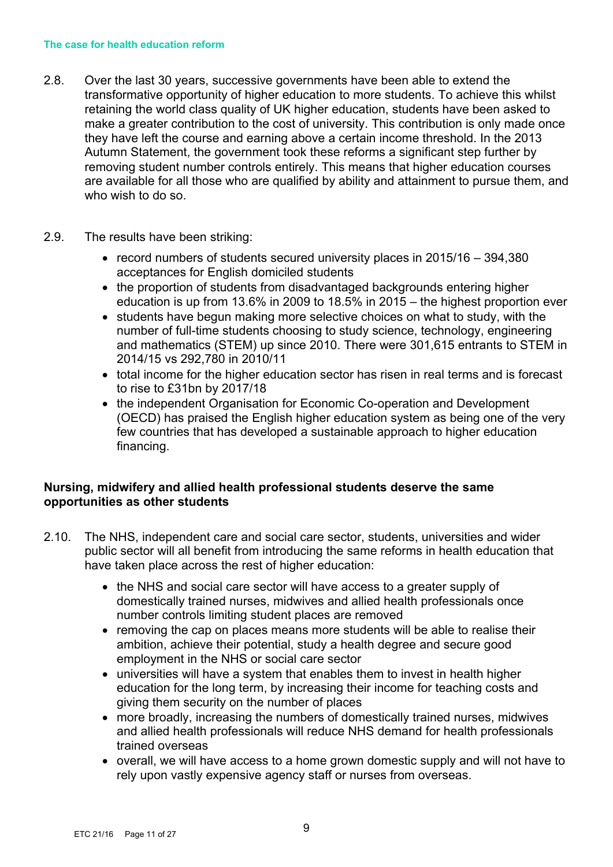- 2.8. Over the last 30 years, successive governments have been able to extend the transformative opportunity of higher education to more students. To achieve this whilst retaining the world class quality of UK higher education, students have been asked to make a greater contribution to the cost of university. This contribution is only made once they have left the course and earning above a certain income threshold. In the 2013 Autumn Statement, the government took these reforms a significant step further by removing student number controls entirely. This means that higher education courses are available for all those who are qualified by ability and attainment to pursue them, and who wish to do so.
- 2.9. The results have been striking:
	- record numbers of students secured university places in 2015/16 394,380 acceptances for English domiciled students
	- the proportion of students from disadvantaged backgrounds entering higher education is up from 13.6% in 2009 to 18.5% in 2015 – the highest proportion ever
	- students have begun making more selective choices on what to study, with the number of full-time students choosing to study science, technology, engineering and mathematics (STEM) up since 2010. There were 301,615 entrants to STEM in 2014/15 vs 292,780 in 2010/11
	- total income for the higher education sector has risen in real terms and is forecast to rise to £31bn by 2017/18
	- the independent Organisation for Economic Co-operation and Development (OECD) has praised the English higher education system as being one of the very few countries that has developed a sustainable approach to higher education financing.

# **Nursing, midwifery and allied health professional students deserve the same opportunities as other students**

- 2.10. The NHS, independent care and social care sector, students, universities and wider public sector will all benefit from introducing the same reforms in health education that have taken place across the rest of higher education:
	- the NHS and social care sector will have access to a greater supply of domestically trained nurses, midwives and allied health professionals once number controls limiting student places are removed
	- removing the cap on places means more students will be able to realise their ambition, achieve their potential, study a health degree and secure good employment in the NHS or social care sector
	- universities will have a system that enables them to invest in health higher education for the long term, by increasing their income for teaching costs and giving them security on the number of places
	- more broadly, increasing the numbers of domestically trained nurses, midwives and allied health professionals will reduce NHS demand for health professionals trained overseas
	- overall, we will have access to a home grown domestic supply and will not have to rely upon vastly expensive agency staff or nurses from overseas.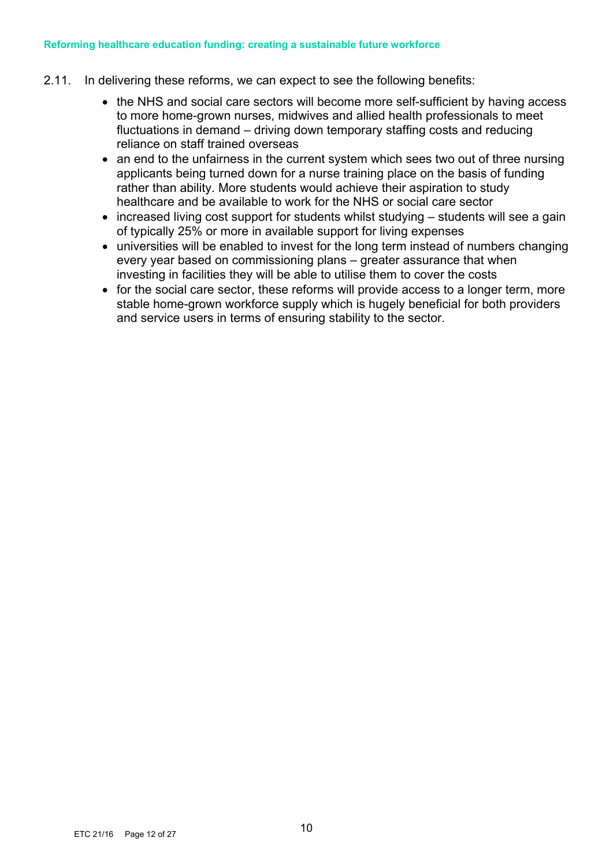- 2.11. In delivering these reforms, we can expect to see the following benefits:
	- the NHS and social care sectors will become more self-sufficient by having access to more home-grown nurses, midwives and allied health professionals to meet fluctuations in demand – driving down temporary staffing costs and reducing reliance on staff trained overseas
	- an end to the unfairness in the current system which sees two out of three nursing applicants being turned down for a nurse training place on the basis of funding rather than ability. More students would achieve their aspiration to study healthcare and be available to work for the NHS or social care sector
	- increased living cost support for students whilst studying students will see a gain of typically 25% or more in available support for living expenses
	- universities will be enabled to invest for the long term instead of numbers changing every year based on commissioning plans – greater assurance that when investing in facilities they will be able to utilise them to cover the costs
	- for the social care sector, these reforms will provide access to a longer term, more stable home-grown workforce supply which is hugely beneficial for both providers and service users in terms of ensuring stability to the sector.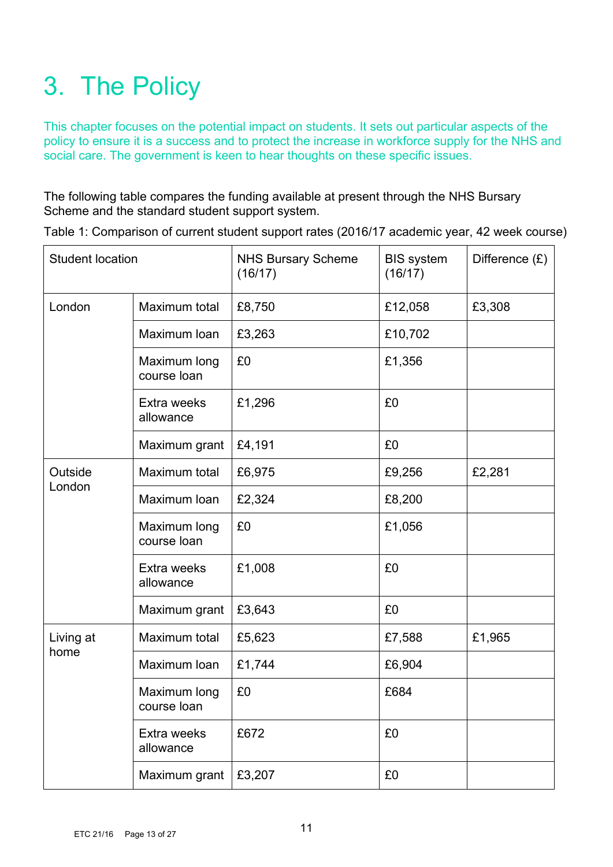# 3. The Policy

This chapter focuses on the potential impact on students. It sets out particular aspects of the policy to ensure it is a success and to protect the increase in workforce supply for the NHS and social care. The government is keen to hear thoughts on these specific issues.

The following table compares the funding available at present through the NHS Bursary Scheme and the standard student support system.

| <b>Student location</b> |                             | <b>NHS Bursary Scheme</b><br>(16/17) | <b>BIS system</b><br>(16/17) | Difference $(E)$ |
|-------------------------|-----------------------------|--------------------------------------|------------------------------|------------------|
| London                  | Maximum total               | £8,750                               | £12,058                      | £3,308           |
|                         | Maximum Ioan                | £3,263                               | £10,702                      |                  |
|                         | Maximum long<br>course loan | £0                                   | £1,356                       |                  |
|                         | Extra weeks<br>allowance    | £1,296                               | £0                           |                  |
|                         | Maximum grant               | £4,191                               | £0                           |                  |
| Outside<br>London       | Maximum total               | £6,975                               | £9,256                       | £2,281           |
|                         | Maximum Ioan                | £2,324                               | £8,200                       |                  |
|                         | Maximum long<br>course loan | £0                                   | £1,056                       |                  |
|                         | Extra weeks<br>allowance    | £1,008                               | £0                           |                  |
|                         | Maximum grant               | £3,643                               | £0                           |                  |
| Living at               | Maximum total               | £5,623                               | £7,588                       | £1,965           |
| home                    | Maximum Ioan                | £1,744                               | £6,904                       |                  |
|                         | Maximum long<br>course loan | £0                                   | £684                         |                  |
|                         | Extra weeks<br>allowance    | £672                                 | £0                           |                  |
|                         | Maximum grant               | £3,207                               | £0                           |                  |

Table 1: Comparison of current student support rates (2016/17 academic year, 42 week course)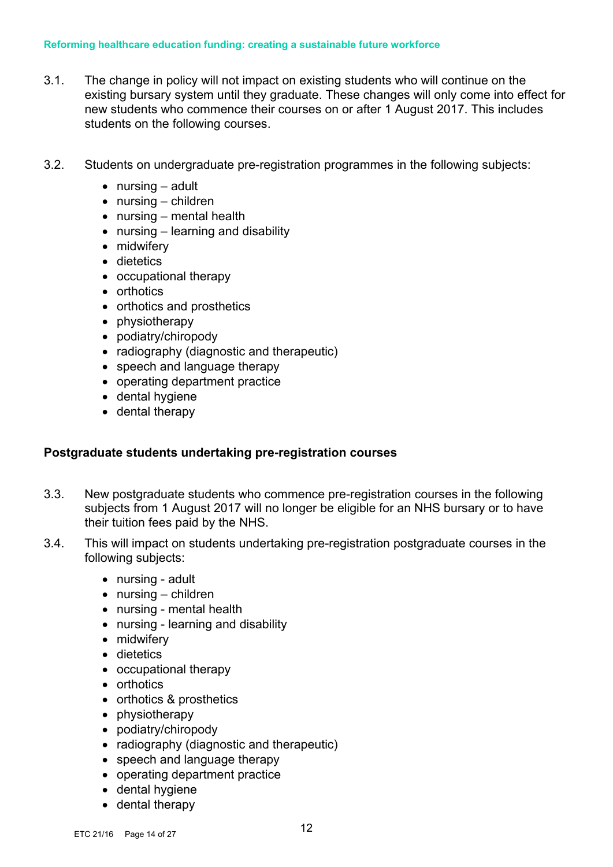- 3.1. The change in policy will not impact on existing students who will continue on the existing bursary system until they graduate. These changes will only come into effect for new students who commence their courses on or after 1 August 2017. This includes students on the following courses.
- 3.2. Students on undergraduate pre-registration programmes in the following subjects:
	- nursing adult
	- nursing children
	- nursing mental health
	- nursing learning and disability
	- midwifery
	- dietetics
	- occupational therapy
	- orthotics
	- orthotics and prosthetics
	- physiotherapy
	- podiatry/chiropody
	- radiography (diagnostic and therapeutic)
	- speech and language therapy
	- operating department practice
	- dental hygiene
	- dental therapy

### **Postgraduate students undertaking pre-registration courses**

- 3.3. New postgraduate students who commence pre-registration courses in the following subjects from 1 August 2017 will no longer be eligible for an NHS bursary or to have their tuition fees paid by the NHS.
- 3.4. This will impact on students undertaking pre-registration postgraduate courses in the following subjects:
	- nursing adult
	- nursing children
	- nursing mental health
	- nursing learning and disability
	- midwifery
	- dietetics
	- occupational therapy
	- orthotics
	- orthotics & prosthetics
	- physiotherapy
	- podiatry/chiropody
	- radiography (diagnostic and therapeutic)
	- speech and language therapy
	- operating department practice
	- dental hygiene
	- dental therapy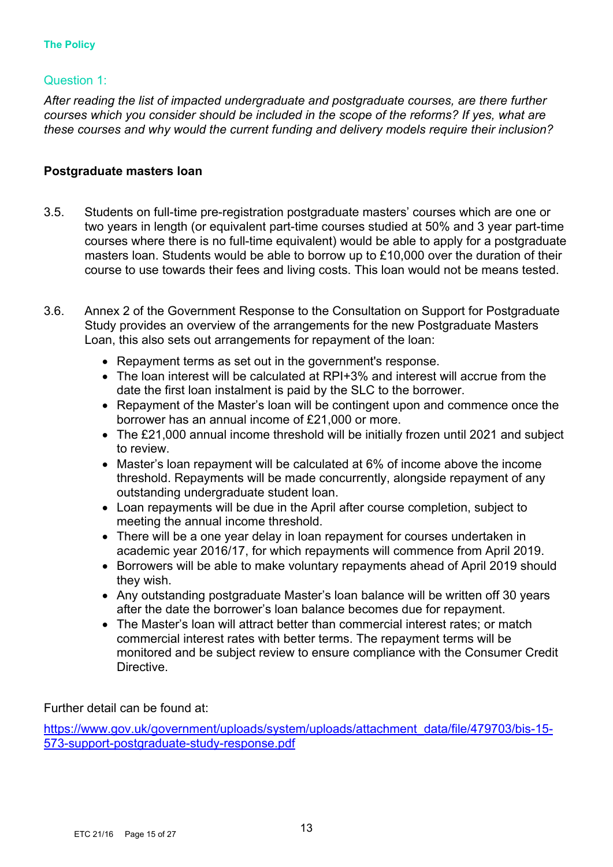# Question 1:

*After reading the list of impacted undergraduate and postgraduate courses, are there further courses which you consider should be included in the scope of the reforms? If yes, what are these courses and why would the current funding and delivery models require their inclusion?*

### **Postgraduate masters loan**

- 3.5. Students on full-time pre-registration postgraduate masters' courses which are one or two years in length (or equivalent part-time courses studied at 50% and 3 year part-time courses where there is no full-time equivalent) would be able to apply for a postgraduate masters loan. Students would be able to borrow up to £10,000 over the duration of their course to use towards their fees and living costs. This loan would not be means tested.
- 3.6. Annex 2 of the Government Response to the Consultation on Support for Postgraduate Study provides an overview of the arrangements for the new Postgraduate Masters Loan, this also sets out arrangements for repayment of the loan:
	- Repayment terms as set out in the government's response.
	- The loan interest will be calculated at RPI+3% and interest will accrue from the date the first loan instalment is paid by the SLC to the borrower.
	- Repayment of the Master's loan will be contingent upon and commence once the borrower has an annual income of £21,000 or more.
	- The £21,000 annual income threshold will be initially frozen until 2021 and subject to review.
	- Master's loan repayment will be calculated at 6% of income above the income threshold. Repayments will be made concurrently, alongside repayment of any outstanding undergraduate student loan.
	- Loan repayments will be due in the April after course completion, subject to meeting the annual income threshold.
	- There will be a one year delay in loan repayment for courses undertaken in academic year 2016/17, for which repayments will commence from April 2019.
	- Borrowers will be able to make voluntary repayments ahead of April 2019 should they wish.
	- Any outstanding postgraduate Master's loan balance will be written off 30 years after the date the borrower's loan balance becomes due for repayment.
	- The Master's loan will attract better than commercial interest rates; or match commercial interest rates with better terms. The repayment terms will be monitored and be subject review to ensure compliance with the Consumer Credit Directive.

Further detail can be found at:

https://www.gov.uk/government/uploads/system/uploads/attachment\_data/file/479703/bis-15-573-support-postgraduate-study-response.pdf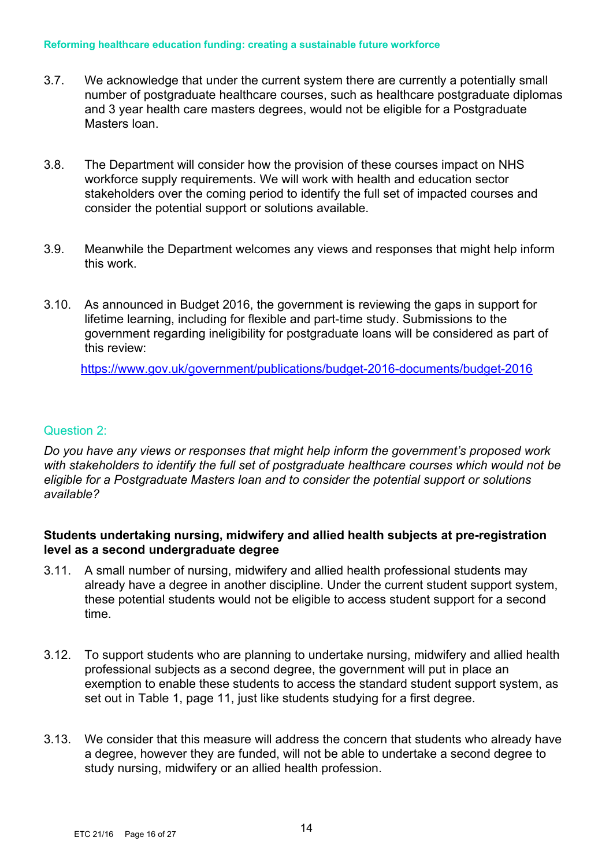#### **Reforming healthcare education funding: creating a sustainable future workforce**

- 3.7. We acknowledge that under the current system there are currently a potentially small number of postgraduate healthcare courses, such as healthcare postgraduate diplomas and 3 year health care masters degrees, would not be eligible for a Postgraduate Masters loan.
- 3.8. The Department will consider how the provision of these courses impact on NHS workforce supply requirements. We will work with health and education sector stakeholders over the coming period to identify the full set of impacted courses and consider the potential support or solutions available.
- 3.9. Meanwhile the Department welcomes any views and responses that might help inform this work.
- 3.10. As announced in Budget 2016, the government is reviewing the gaps in support for lifetime learning, including for flexible and part-time study. Submissions to the government regarding ineligibility for postgraduate loans will be considered as part of this review:

https://www.gov.uk/government/publications/budget-2016-documents/budget-2016

#### Question 2:

*Do you have any views or responses that might help inform the government's proposed work with stakeholders to identify the full set of postgraduate healthcare courses which would not be eligible for a Postgraduate Masters loan and to consider the potential support or solutions available?*

### **Students undertaking nursing, midwifery and allied health subjects at pre-registration level as a second undergraduate degree**

- 3.11. A small number of nursing, midwifery and allied health professional students may already have a degree in another discipline. Under the current student support system, these potential students would not be eligible to access student support for a second time.
- 3.12. To support students who are planning to undertake nursing, midwifery and allied health professional subjects as a second degree, the government will put in place an exemption to enable these students to access the standard student support system, as set out in Table 1, page 11, just like students studying for a first degree.
- 3.13. We consider that this measure will address the concern that students who already have a degree, however they are funded, will not be able to undertake a second degree to study nursing, midwifery or an allied health profession.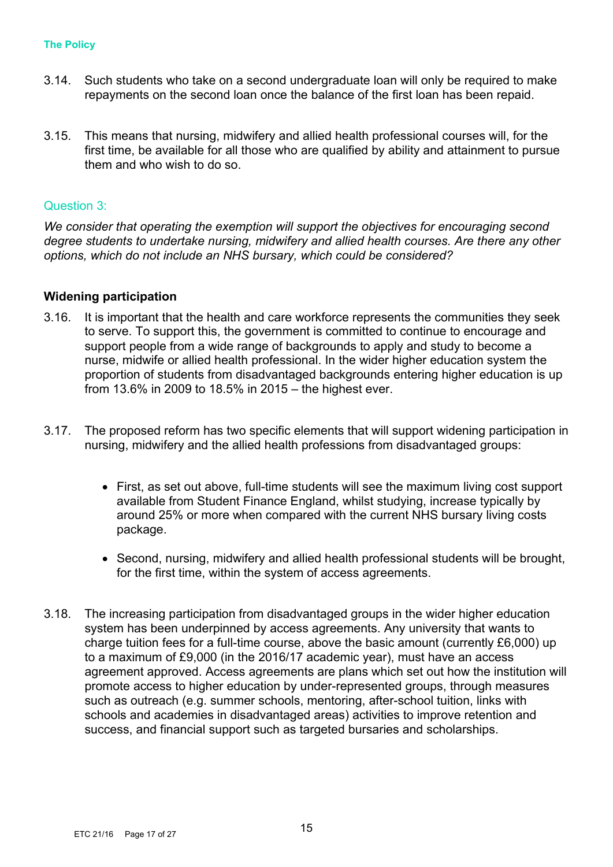- 3.14. Such students who take on a second undergraduate loan will only be required to make repayments on the second loan once the balance of the first loan has been repaid.
- 3.15. This means that nursing, midwifery and allied health professional courses will, for the first time, be available for all those who are qualified by ability and attainment to pursue them and who wish to do so.

#### Question 3:

*We consider that operating the exemption will support the objectives for encouraging second degree students to undertake nursing, midwifery and allied health courses. Are there any other options, which do not include an NHS bursary, which could be considered?*

#### **Widening participation**

- 3.16. It is important that the health and care workforce represents the communities they seek to serve. To support this, the government is committed to continue to encourage and support people from a wide range of backgrounds to apply and study to become a nurse, midwife or allied health professional. In the wider higher education system the proportion of students from disadvantaged backgrounds entering higher education is up from 13.6% in 2009 to 18.5% in 2015 – the highest ever.
- 3.17. The proposed reform has two specific elements that will support widening participation in nursing, midwifery and the allied health professions from disadvantaged groups:
	- First, as set out above, full-time students will see the maximum living cost support available from Student Finance England, whilst studying, increase typically by around 25% or more when compared with the current NHS bursary living costs package.
	- Second, nursing, midwifery and allied health professional students will be brought, for the first time, within the system of access agreements.
- 3.18. The increasing participation from disadvantaged groups in the wider higher education system has been underpinned by access agreements. Any university that wants to charge tuition fees for a full-time course, above the basic amount (currently £6,000) up to a maximum of £9,000 (in the 2016/17 academic year), must have an access agreement approved. Access agreements are plans which set out how the institution will promote access to higher education by under-represented groups, through measures such as outreach (e.g. summer schools, mentoring, after-school tuition, links with schools and academies in disadvantaged areas) activities to improve retention and success, and financial support such as targeted bursaries and scholarships.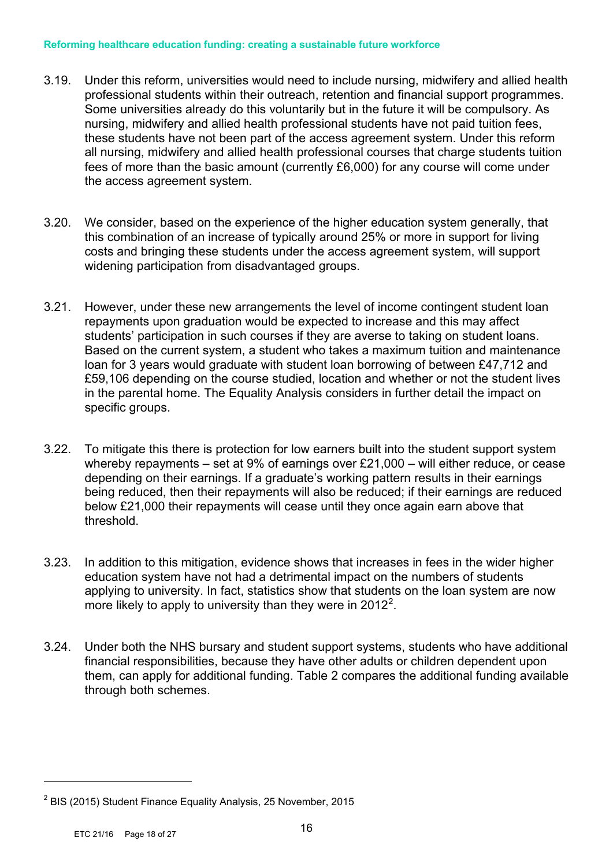#### **Reforming healthcare education funding: creating a sustainable future workforce**

- 3.19. Under this reform, universities would need to include nursing, midwifery and allied health professional students within their outreach, retention and financial support programmes. Some universities already do this voluntarily but in the future it will be compulsory. As nursing, midwifery and allied health professional students have not paid tuition fees, these students have not been part of the access agreement system. Under this reform all nursing, midwifery and allied health professional courses that charge students tuition fees of more than the basic amount (currently £6,000) for any course will come under the access agreement system.
- 3.20. We consider, based on the experience of the higher education system generally, that this combination of an increase of typically around 25% or more in support for living costs and bringing these students under the access agreement system, will support widening participation from disadvantaged groups.
- 3.21. However, under these new arrangements the level of income contingent student loan repayments upon graduation would be expected to increase and this may affect students' participation in such courses if they are averse to taking on student loans. Based on the current system, a student who takes a maximum tuition and maintenance loan for 3 years would graduate with student loan borrowing of between £47,712 and £59,106 depending on the course studied, location and whether or not the student lives in the parental home. The Equality Analysis considers in further detail the impact on specific groups.
- 3.22. To mitigate this there is protection for low earners built into the student support system whereby repayments – set at 9% of earnings over £21,000 – will either reduce, or cease depending on their earnings. If a graduate's working pattern results in their earnings being reduced, then their repayments will also be reduced; if their earnings are reduced below £21,000 their repayments will cease until they once again earn above that threshold.
- 3.23. In addition to this mitigation, evidence shows that increases in fees in the wider higher education system have not had a detrimental impact on the numbers of students applying to university. In fact, statistics show that students on the loan system are now more likely to apply to university than they were in 2012<sup>2</sup>.
- 3.24. Under both the NHS bursary and student support systems, students who have additional financial responsibilities, because they have other adults or children dependent upon them, can apply for additional funding. Table 2 compares the additional funding available through both schemes.

 $\overline{a}$ 

<sup>2</sup> BIS (2015) Student Finance Equality Analysis, 25 November, 2015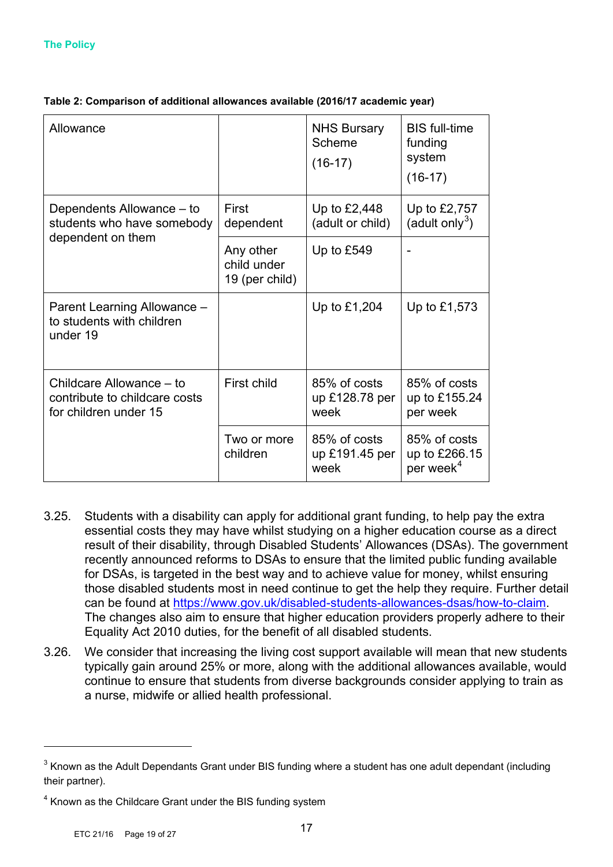| Allowance                                                                          |                                            | <b>NHS Bursary</b><br>Scheme<br>$(16-17)$ | <b>BIS</b> full-time<br>funding<br>system<br>$(16-17)$ |
|------------------------------------------------------------------------------------|--------------------------------------------|-------------------------------------------|--------------------------------------------------------|
| Dependents Allowance – to<br>students who have somebody                            | First<br>dependent                         | Up to $£2,448$<br>(adult or child)        | Up to £2,757<br>(adult only <sup>3</sup> )             |
| dependent on them                                                                  | Any other<br>child under<br>19 (per child) | Up to $£549$                              |                                                        |
| Parent Learning Allowance -<br>to students with children<br>under 19               |                                            | Up to £1,204                              | Up to $£1,573$                                         |
| Childcare Allowance – to<br>contribute to childcare costs<br>for children under 15 | First child                                | 85% of costs<br>up £128.78 per<br>week    | 85% of costs<br>up to £155.24<br>per week              |
|                                                                                    | Two or more<br>children                    | 85% of costs<br>up £191.45 per<br>week    | 85% of costs<br>up to £266.15<br>per week <sup>4</sup> |

#### **Table 2: Comparison of additional allowances available (2016/17 academic year)**

- 3.25. Students with a disability can apply for additional grant funding, to help pay the extra essential costs they may have whilst studying on a higher education course as a direct result of their disability, through Disabled Students' Allowances (DSAs). The government recently announced reforms to DSAs to ensure that the limited public funding available for DSAs, is targeted in the best way and to achieve value for money, whilst ensuring those disabled students most in need continue to get the help they require. Further detail can be found at https://www.gov.uk/disabled-students-allowances-dsas/how-to-claim. The changes also aim to ensure that higher education providers properly adhere to their Equality Act 2010 duties, for the benefit of all disabled students.
- 3.26. We consider that increasing the living cost support available will mean that new students typically gain around 25% or more, along with the additional allowances available, would continue to ensure that students from diverse backgrounds consider applying to train as a nurse, midwife or allied health professional.

 $\overline{a}$ 

 $3$  Known as the Adult Dependants Grant under BIS funding where a student has one adult dependant (including their partner).

<sup>&</sup>lt;sup>4</sup> Known as the Childcare Grant under the BIS funding system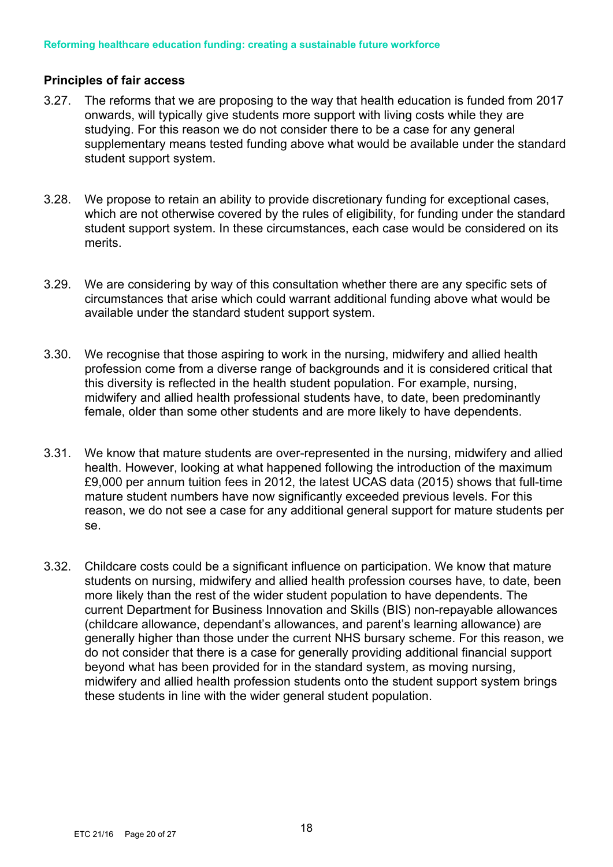### **Principles of fair access**

- 3.27. The reforms that we are proposing to the way that health education is funded from 2017 onwards, will typically give students more support with living costs while they are studying. For this reason we do not consider there to be a case for any general supplementary means tested funding above what would be available under the standard student support system.
- 3.28. We propose to retain an ability to provide discretionary funding for exceptional cases, which are not otherwise covered by the rules of eligibility, for funding under the standard student support system. In these circumstances, each case would be considered on its merits.
- 3.29. We are considering by way of this consultation whether there are any specific sets of circumstances that arise which could warrant additional funding above what would be available under the standard student support system.
- 3.30. We recognise that those aspiring to work in the nursing, midwifery and allied health profession come from a diverse range of backgrounds and it is considered critical that this diversity is reflected in the health student population. For example, nursing, midwifery and allied health professional students have, to date, been predominantly female, older than some other students and are more likely to have dependents.
- 3.31. We know that mature students are over-represented in the nursing, midwifery and allied health. However, looking at what happened following the introduction of the maximum £9,000 per annum tuition fees in 2012, the latest UCAS data (2015) shows that full-time mature student numbers have now significantly exceeded previous levels. For this reason, we do not see a case for any additional general support for mature students per se.
- 3.32. Childcare costs could be a significant influence on participation. We know that mature students on nursing, midwifery and allied health profession courses have, to date, been more likely than the rest of the wider student population to have dependents. The current Department for Business Innovation and Skills (BIS) non-repayable allowances (childcare allowance, dependant's allowances, and parent's learning allowance) are generally higher than those under the current NHS bursary scheme. For this reason, we do not consider that there is a case for generally providing additional financial support beyond what has been provided for in the standard system, as moving nursing, midwifery and allied health profession students onto the student support system brings these students in line with the wider general student population.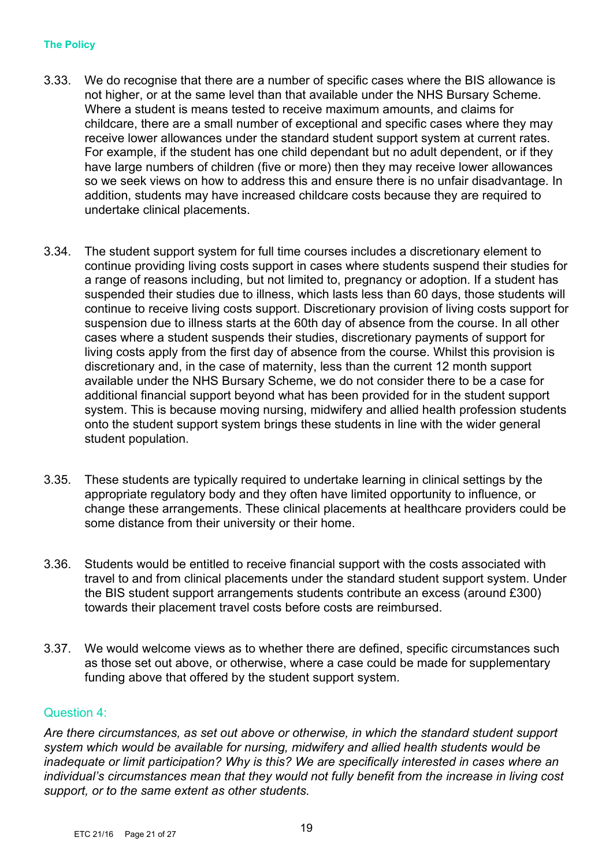#### **The Policy**

- 3.33. We do recognise that there are a number of specific cases where the BIS allowance is not higher, or at the same level than that available under the NHS Bursary Scheme. Where a student is means tested to receive maximum amounts, and claims for childcare, there are a small number of exceptional and specific cases where they may receive lower allowances under the standard student support system at current rates. For example, if the student has one child dependant but no adult dependent, or if they have large numbers of children (five or more) then they may receive lower allowances so we seek views on how to address this and ensure there is no unfair disadvantage. In addition, students may have increased childcare costs because they are required to undertake clinical placements.
- 3.34. The student support system for full time courses includes a discretionary element to continue providing living costs support in cases where students suspend their studies for a range of reasons including, but not limited to, pregnancy or adoption. If a student has suspended their studies due to illness, which lasts less than 60 days, those students will continue to receive living costs support. Discretionary provision of living costs support for suspension due to illness starts at the 60th day of absence from the course. In all other cases where a student suspends their studies, discretionary payments of support for living costs apply from the first day of absence from the course. Whilst this provision is discretionary and, in the case of maternity, less than the current 12 month support available under the NHS Bursary Scheme, we do not consider there to be a case for additional financial support beyond what has been provided for in the student support system. This is because moving nursing, midwifery and allied health profession students onto the student support system brings these students in line with the wider general student population.
- 3.35. These students are typically required to undertake learning in clinical settings by the appropriate regulatory body and they often have limited opportunity to influence, or change these arrangements. These clinical placements at healthcare providers could be some distance from their university or their home.
- 3.36. Students would be entitled to receive financial support with the costs associated with travel to and from clinical placements under the standard student support system. Under the BIS student support arrangements students contribute an excess (around £300) towards their placement travel costs before costs are reimbursed.
- 3.37. We would welcome views as to whether there are defined, specific circumstances such as those set out above, or otherwise, where a case could be made for supplementary funding above that offered by the student support system.

#### Question 4:

*Are there circumstances, as set out above or otherwise, in which the standard student support system which would be available for nursing, midwifery and allied health students would be inadequate or limit participation? Why is this? We are specifically interested in cases where an individual's circumstances mean that they would not fully benefit from the increase in living cost support, or to the same extent as other students.*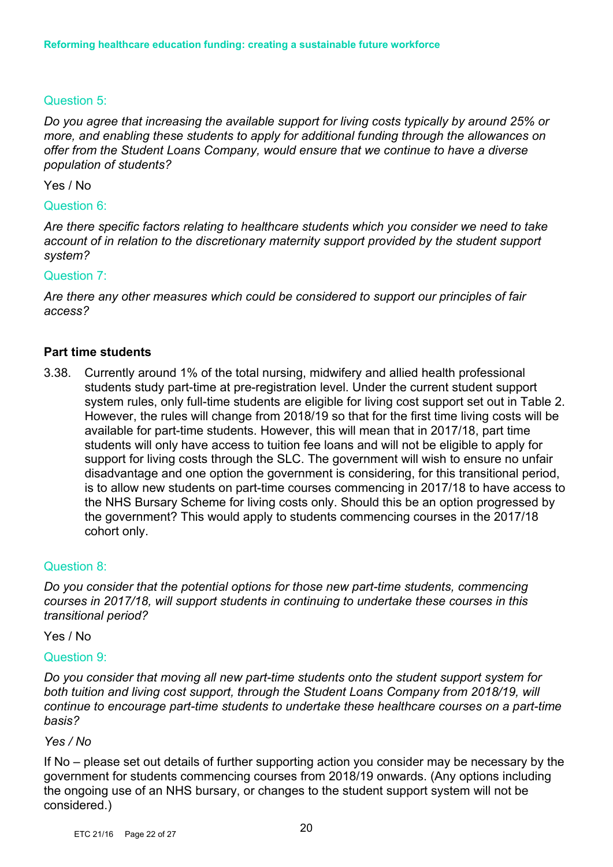# Question 5:

*Do you agree that increasing the available support for living costs typically by around 25% or more, and enabling these students to apply for additional funding through the allowances on offer from the Student Loans Company, would ensure that we continue to have a diverse population of students?*

#### Yes / No

#### Question 6:

*Are there specific factors relating to healthcare students which you consider we need to take account of in relation to the discretionary maternity support provided by the student support system?* 

#### Question 7:

*Are there any other measures which could be considered to support our principles of fair access?* 

#### **Part time students**

3.38. Currently around 1% of the total nursing, midwifery and allied health professional students study part-time at pre-registration level. Under the current student support system rules, only full-time students are eligible for living cost support set out in Table 2. However, the rules will change from 2018/19 so that for the first time living costs will be available for part-time students. However, this will mean that in 2017/18, part time students will only have access to tuition fee loans and will not be eligible to apply for support for living costs through the SLC. The government will wish to ensure no unfair disadvantage and one option the government is considering, for this transitional period, is to allow new students on part-time courses commencing in 2017/18 to have access to the NHS Bursary Scheme for living costs only. Should this be an option progressed by the government? This would apply to students commencing courses in the 2017/18 cohort only.

#### Question 8:

*Do you consider that the potential options for those new part-time students, commencing courses in 2017/18, will support students in continuing to undertake these courses in this transitional period?*

Yes / No

#### Question 9:

*Do you consider that moving all new part-time students onto the student support system for both tuition and living cost support, through the Student Loans Company from 2018/19, will continue to encourage part-time students to undertake these healthcare courses on a part-time basis?* 

#### *Yes / No*

If No – please set out details of further supporting action you consider may be necessary by the government for students commencing courses from 2018/19 onwards. (Any options including the ongoing use of an NHS bursary, or changes to the student support system will not be considered.)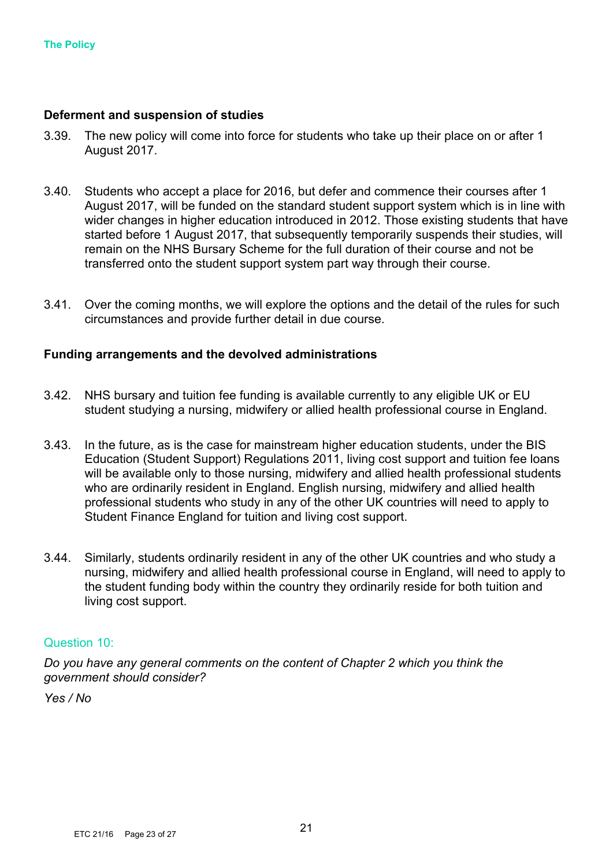#### **Deferment and suspension of studies**

- 3.39. The new policy will come into force for students who take up their place on or after 1 August 2017.
- 3.40. Students who accept a place for 2016, but defer and commence their courses after 1 August 2017, will be funded on the standard student support system which is in line with wider changes in higher education introduced in 2012. Those existing students that have started before 1 August 2017, that subsequently temporarily suspends their studies, will remain on the NHS Bursary Scheme for the full duration of their course and not be transferred onto the student support system part way through their course.
- 3.41. Over the coming months, we will explore the options and the detail of the rules for such circumstances and provide further detail in due course.

#### **Funding arrangements and the devolved administrations**

- 3.42. NHS bursary and tuition fee funding is available currently to any eligible UK or EU student studying a nursing, midwifery or allied health professional course in England.
- 3.43. In the future, as is the case for mainstream higher education students, under the BIS Education (Student Support) Regulations 2011, living cost support and tuition fee loans will be available only to those nursing, midwifery and allied health professional students who are ordinarily resident in England. English nursing, midwifery and allied health professional students who study in any of the other UK countries will need to apply to Student Finance England for tuition and living cost support.
- 3.44. Similarly, students ordinarily resident in any of the other UK countries and who study a nursing, midwifery and allied health professional course in England, will need to apply to the student funding body within the country they ordinarily reside for both tuition and living cost support.

#### Question 10:

*Do you have any general comments on the content of Chapter 2 which you think the government should consider?* 

*Yes / No*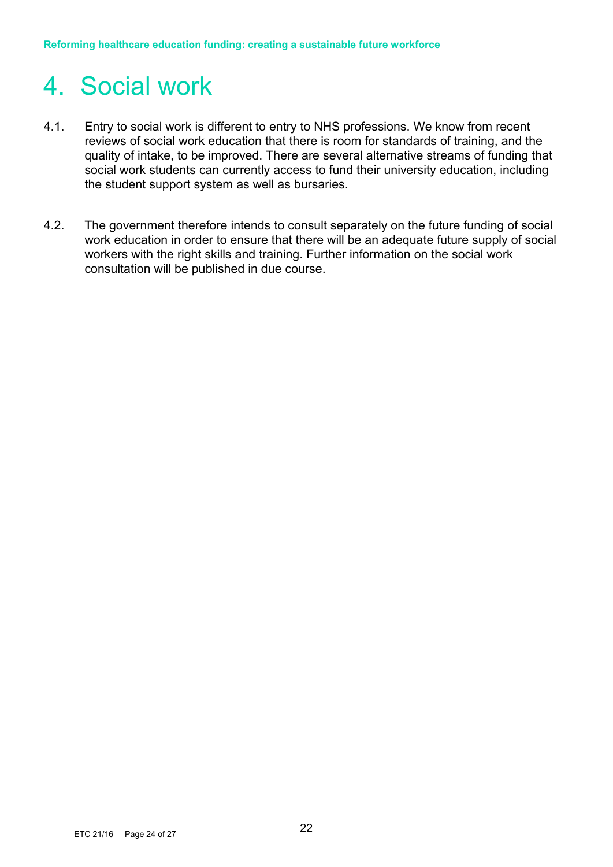# 4. Social work

- 4.1. Entry to social work is different to entry to NHS professions. We know from recent reviews of social work education that there is room for standards of training, and the quality of intake, to be improved. There are several alternative streams of funding that social work students can currently access to fund their university education, including the student support system as well as bursaries.
- 4.2. The government therefore intends to consult separately on the future funding of social work education in order to ensure that there will be an adequate future supply of social workers with the right skills and training. Further information on the social work consultation will be published in due course.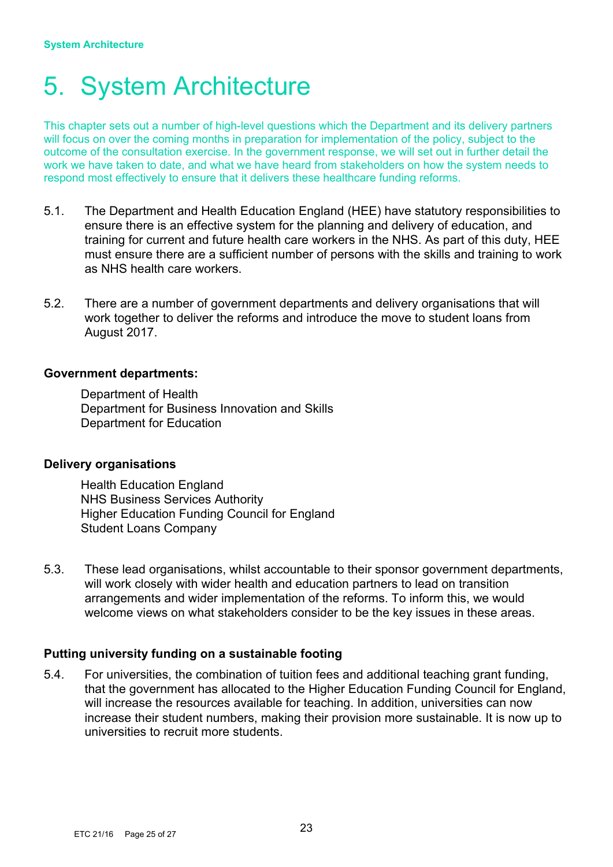# 5. System Architecture

This chapter sets out a number of high-level questions which the Department and its delivery partners will focus on over the coming months in preparation for implementation of the policy, subject to the outcome of the consultation exercise. In the government response, we will set out in further detail the work we have taken to date, and what we have heard from stakeholders on how the system needs to respond most effectively to ensure that it delivers these healthcare funding reforms.

- 5.1. The Department and Health Education England (HEE) have statutory responsibilities to ensure there is an effective system for the planning and delivery of education, and training for current and future health care workers in the NHS. As part of this duty, HEE must ensure there are a sufficient number of persons with the skills and training to work as NHS health care workers.
- 5.2. There are a number of government departments and delivery organisations that will work together to deliver the reforms and introduce the move to student loans from August 2017.

#### **Government departments:**

Department of Health Department for Business Innovation and Skills Department for Education

#### **Delivery organisations**

Health Education England NHS Business Services Authority Higher Education Funding Council for England Student Loans Company

5.3. These lead organisations, whilst accountable to their sponsor government departments, will work closely with wider health and education partners to lead on transition arrangements and wider implementation of the reforms. To inform this, we would welcome views on what stakeholders consider to be the key issues in these areas.

### **Putting university funding on a sustainable footing**

5.4. For universities, the combination of tuition fees and additional teaching grant funding, that the government has allocated to the Higher Education Funding Council for England, will increase the resources available for teaching. In addition, universities can now increase their student numbers, making their provision more sustainable. It is now up to universities to recruit more students.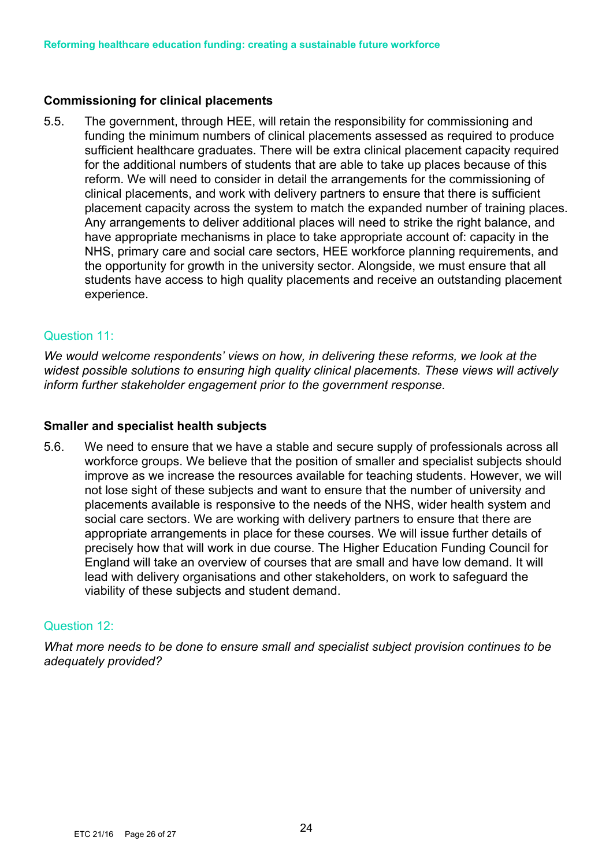## **Commissioning for clinical placements**

5.5. The government, through HEE, will retain the responsibility for commissioning and funding the minimum numbers of clinical placements assessed as required to produce sufficient healthcare graduates. There will be extra clinical placement capacity required for the additional numbers of students that are able to take up places because of this reform. We will need to consider in detail the arrangements for the commissioning of clinical placements, and work with delivery partners to ensure that there is sufficient placement capacity across the system to match the expanded number of training places. Any arrangements to deliver additional places will need to strike the right balance, and have appropriate mechanisms in place to take appropriate account of: capacity in the NHS, primary care and social care sectors, HEE workforce planning requirements, and the opportunity for growth in the university sector. Alongside, we must ensure that all students have access to high quality placements and receive an outstanding placement experience.

### Question 11:

*We would welcome respondents' views on how, in delivering these reforms, we look at the widest possible solutions to ensuring high quality clinical placements. These views will actively inform further stakeholder engagement prior to the government response.* 

### **Smaller and specialist health subjects**

5.6. We need to ensure that we have a stable and secure supply of professionals across all workforce groups. We believe that the position of smaller and specialist subjects should improve as we increase the resources available for teaching students. However, we will not lose sight of these subjects and want to ensure that the number of university and placements available is responsive to the needs of the NHS, wider health system and social care sectors. We are working with delivery partners to ensure that there are appropriate arrangements in place for these courses. We will issue further details of precisely how that will work in due course. The Higher Education Funding Council for England will take an overview of courses that are small and have low demand. It will lead with delivery organisations and other stakeholders, on work to safeguard the viability of these subjects and student demand.

### Question 12:

*What more needs to be done to ensure small and specialist subject provision continues to be adequately provided?*